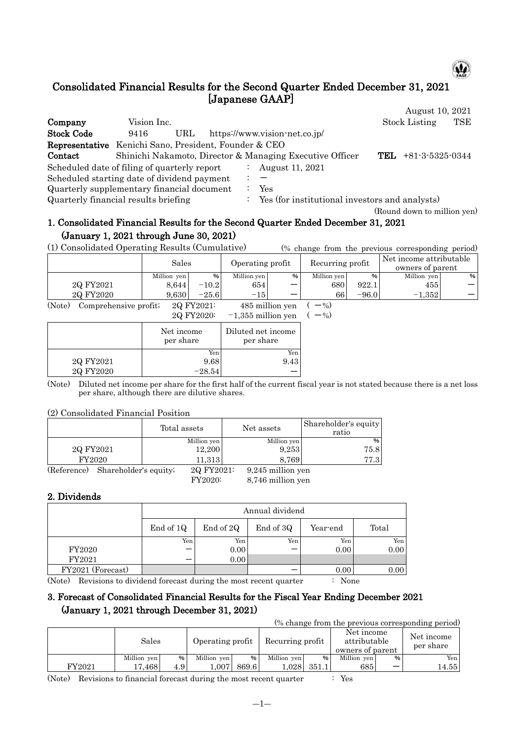

# Consolidated Financial Results for the Second Quarter Ended December 31, 2021 [Japanese GAAP]

|                                                       |             |     |  |                                                          | August 10, 2021             |     |
|-------------------------------------------------------|-------------|-----|--|----------------------------------------------------------|-----------------------------|-----|
| Company                                               | Vision Inc. |     |  |                                                          | <b>Stock Listing</b>        | TSE |
| <b>Stock Code</b>                                     | 9416        | URL |  | https://www.vision-net.co.jp/                            |                             |     |
| Representative Kenichi Sano, President, Founder & CEO |             |     |  |                                                          |                             |     |
| Contact                                               |             |     |  | Shinichi Nakamoto, Director & Managing Executive Officer | TEL<br>$+81-3-5325-0344$    |     |
| Scheduled date of filing of quarterly report          |             |     |  | August 11, 2021                                          |                             |     |
| Scheduled starting date of dividend payment           |             |     |  |                                                          |                             |     |
| Quarterly supplementary financial document            |             |     |  | Yes                                                      |                             |     |
| Quarterly financial results briefing                  |             |     |  | Yes (for institutional investors and analysts)           |                             |     |
|                                                       |             |     |  |                                                          | (Round down to million yen) |     |

# 1. Consolidated Financial Results for the Second Quarter Ended December 31, 2021 (January 1, 2021 through June 30, 2021)

(1) Consolidated Operating Results (Cumulative) (% change from the previous corresponding period)

|                                 | Sales       |            | Operating profit |                 | Recurring profit |         | Net income attributable<br>owners of parent |      |
|---------------------------------|-------------|------------|------------------|-----------------|------------------|---------|---------------------------------------------|------|
|                                 | Million yen | %          | Million yen      | %               | Million yen      | %       | Million yen                                 | %    |
| 2Q FY2021                       | 8.644       | $-10.2$    | 654              |                 | 680              | 922.1   | 455                                         | $-1$ |
| 2Q FY2020                       | 9.630       | $-25.6$    | $-15$            |                 | 66               | $-96.0$ | $-1.352$                                    |      |
| (Note)<br>Comprehensive profit; |             | 2Q FY2021: |                  | 485 million yen | $-$ %)           |         |                                             |      |

| 2Q FY2020: | $-1,355$ million yen | $-$ %) |
|------------|----------------------|--------|
|            |                      |        |

|           | Net income<br>per share | Diluted net income<br>per share |
|-----------|-------------------------|---------------------------------|
|           | Yen                     | Yen                             |
| 2Q FY2021 | 9.68                    | 9.43                            |
| 2Q FY2020 | $-28.54$                |                                 |

(Note) Diluted net income per share for the first half of the current fiscal year is not stated because there is a net loss per share, although there are dilutive shares.

#### (2) Consolidated Financial Position

|             |                       | Total assets | Net assets        | Shareholder's equity<br>ratio |
|-------------|-----------------------|--------------|-------------------|-------------------------------|
|             |                       | Million yen  | Million yen       | %                             |
| 2Q FY2021   |                       | 12,200       | 9,253             | 75.8                          |
| FY2020      |                       | 11,313       | 8.769             | 77.3                          |
| (Reference) | Shareholder's equity; | 2Q FY2021:   | 9,245 million yen |                               |

FY2020: 8,746 million yen

#### 2. Dividends

|                   |           | Annual dividend |           |          |       |  |  |  |  |  |  |  |
|-------------------|-----------|-----------------|-----------|----------|-------|--|--|--|--|--|--|--|
|                   | End of 1Q | End of 2Q       | End of 3Q | Year-end | Total |  |  |  |  |  |  |  |
|                   | Yen       | Yen             | Yen       | Yen      | Yen   |  |  |  |  |  |  |  |
| FY2020            |           | 0.00            |           | 0.00     | 0.00  |  |  |  |  |  |  |  |
| FY2021            |           | 0.00            |           |          |       |  |  |  |  |  |  |  |
| FY2021 (Forecast) |           |                 |           | 0.00     | 0.00  |  |  |  |  |  |  |  |

(Note) Revisions to dividend forecast during the most recent quarter : None

# 3. Forecast of Consolidated Financial Results for the Fiscal Year Ending December 2021 (January 1, 2021 through December 31, 2021)

| (% change from the previous corresponding period) |             |      |                  |       |                  |       |                                                |   |                         |  |  |
|---------------------------------------------------|-------------|------|------------------|-------|------------------|-------|------------------------------------------------|---|-------------------------|--|--|
|                                                   | Sales       |      | Operating profit |       | Recurring profit |       | Net income<br>attributable<br>owners of parent |   | Net income<br>per share |  |  |
|                                                   | Million yen | %    | Million yen      | $\%$  | Million yen      | %     | Million ven                                    | % | Yen <sub>1</sub>        |  |  |
| FY2021                                            | 17.4681     | 4.91 | 0.007            | 869.6 | 0.0281           | 351.1 | 6851                                           |   | 14.55                   |  |  |

(Note) Revisions to financial forecast during the most recent quarter : Yes